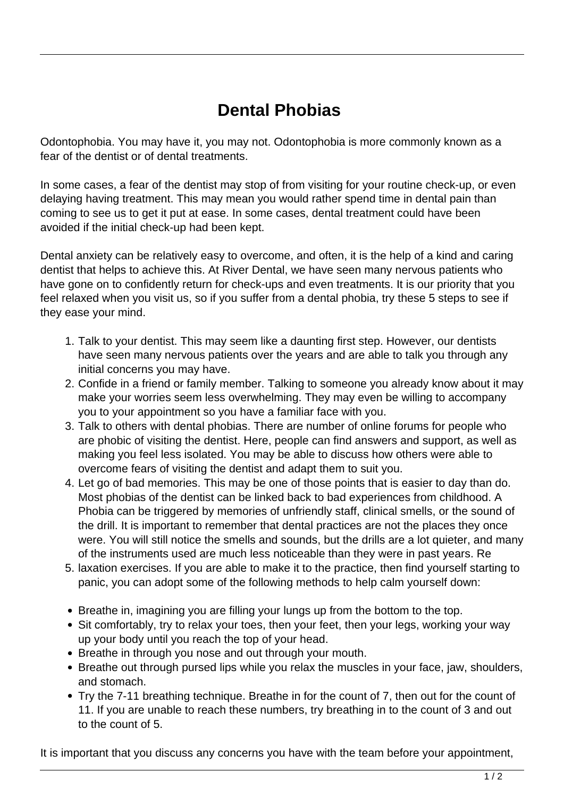## **Dental Phobias**

Odontophobia. You may have it, you may not. Odontophobia is more commonly known as a fear of the dentist or of dental treatments.

In some cases, a fear of the dentist may stop of from visiting for your routine check-up, or even delaying having treatment. This may mean you would rather spend time in dental pain than coming to see us to get it put at ease. In some cases, dental treatment could have been avoided if the initial check-up had been kept.

Dental anxiety can be relatively easy to overcome, and often, it is the help of a kind and caring dentist that helps to achieve this. At River Dental, we have seen many nervous patients who have gone on to confidently return for check-ups and even treatments. It is our priority that you feel relaxed when you visit us, so if you suffer from a dental phobia, try these 5 steps to see if they ease your mind.

- 1. Talk to your dentist. This may seem like a daunting first step. However, our dentists have seen many nervous patients over the years and are able to talk you through any initial concerns you may have.
- 2. Confide in a friend or family member. Talking to someone you already know about it may make your worries seem less overwhelming. They may even be willing to accompany you to your appointment so you have a familiar face with you.
- 3. Talk to others with dental phobias. There are number of online forums for people who are phobic of visiting the dentist. Here, people can find answers and support, as well as making you feel less isolated. You may be able to discuss how others were able to overcome fears of visiting the dentist and adapt them to suit you.
- 4. Let go of bad memories. This may be one of those points that is easier to day than do. Most phobias of the dentist can be linked back to bad experiences from childhood. A Phobia can be triggered by memories of unfriendly staff, clinical smells, or the sound of the drill. It is important to remember that dental practices are not the places they once were. You will still notice the smells and sounds, but the drills are a lot quieter, and many of the instruments used are much less noticeable than they were in past years. Re
- 5. laxation exercises. If you are able to make it to the practice, then find yourself starting to panic, you can adopt some of the following methods to help calm yourself down:
- Breathe in, imagining you are filling your lungs up from the bottom to the top.
- Sit comfortably, try to relax your toes, then your feet, then your legs, working your way up your body until you reach the top of your head.
- Breathe in through you nose and out through your mouth.
- Breathe out through pursed lips while you relax the muscles in your face, jaw, shoulders, and stomach.
- Try the 7-11 breathing technique. Breathe in for the count of 7, then out for the count of 11. If you are unable to reach these numbers, try breathing in to the count of 3 and out to the count of 5.

It is important that you discuss any concerns you have with the team before your appointment,